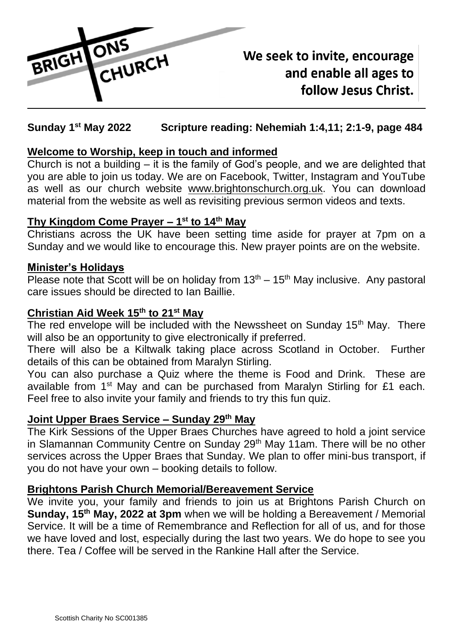

# We seek to invite, encourage and enable all ages to follow Jesus Christ.

#### Sunday 1<sup>st</sup> May 2022 **st May 2022 Scripture reading: Nehemiah 1:4,11; 2:1-9, page 484**

## **Welcome to Worship, keep in touch and informed**

Church is not a building – it is the family of God's people, and we are delighted that you are able to join us today. We are on Facebook, Twitter, Instagram and YouTube as well as our church website [www.brightonschurch.org.uk.](http://www.brightonschurch.org.uk/) You can download material from the website as well as revisiting previous sermon videos and texts.

## **Thy Kingdom Come Prayer – 1 st to 14th May**

Christians across the UK have been setting time aside for prayer at 7pm on a Sunday and we would like to encourage this. New prayer points are on the website.

## **Minister's Holidays**

Please note that Scott will be on holiday from  $13<sup>th</sup> - 15<sup>th</sup>$  May inclusive. Any pastoral care issues should be directed to Ian Baillie.

## **Christian Aid Week 15th to 21st May**

The red envelope will be included with the Newssheet on Sunday 15<sup>th</sup> May. There will also be an opportunity to give electronically if preferred.

There will also be a Kiltwalk taking place across Scotland in October. Further details of this can be obtained from Maralyn Stirling.

You can also purchase a Quiz where the theme is Food and Drink. These are available from 1<sup>st</sup> May and can be purchased from Maralyn Stirling for £1 each. Feel free to also invite your family and friends to try this fun quiz.

## **Joint Upper Braes Service – Sunday 29th May**

The Kirk Sessions of the Upper Braes Churches have agreed to hold a joint service in Slamannan Community Centre on Sunday 29<sup>th</sup> May 11am. There will be no other services across the Upper Braes that Sunday. We plan to offer mini-bus transport, if you do not have your own – booking details to follow.

## **Brightons Parish Church Memorial/Bereavement Service**

We invite you, your family and friends to join us at Brightons Parish Church on **Sunday, 15th May, 2022 at 3pm** when we will be holding a Bereavement / Memorial Service. It will be a time of Remembrance and Reflection for all of us, and for those we have loved and lost, especially during the last two years. We do hope to see you there. Tea / Coffee will be served in the Rankine Hall after the Service.